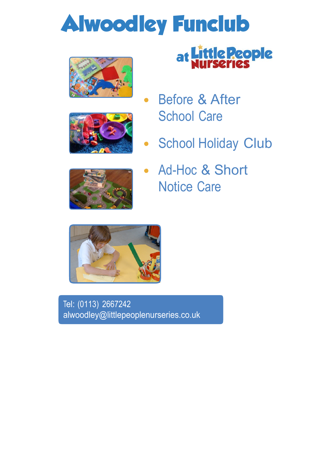## **Alwoodley Funclub**





# at Little People

- Before & After **School Care**
- **School Holiday Club**  $\bullet$



Ad-Hoc & Short  $\bullet$ Notice Care



Tel: (0113) 2667242 alwoodley@littlepeoplenurseries.co.uk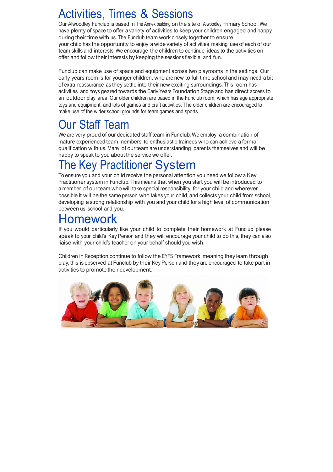#### Activities, Times & Sessions

Our Alwoodley Funclub is based in The Annex building on the site of Alwoodley Primary School. We have plenty of space to offer a variety of activities to keep your children engaged and happy during their time with us. The Funclub team work closely together to ensure your child has the opportunity to enjoy a wide variety of activities making use of each of our team skills and interests. We encourage the children to continue ideas to the activities on offer and follow their interests by keeping the sessions flexible and fun.

Funclub can make use of space and equipment across two playrooms in the settings. Our early years room is for younger children, who are new to full time school and may need a bit of extra reassurance as they settle into their new exciting surroundings. This room has activities and toys geared towards the Early Years Foundation Stage and has direct access to an outdoor play area. Our older children are based in the Funclub room, which has age appropriate toys and equipment, and lots of games and craft activities. The older children are encouraged to make use of the wider school grounds for team games and sports.

### Our Staff Team

We are very proud of our dedicated staff team in Funclub. We employ a combination of mature experienced team members, to enthusiastic trainees who can achieve a formal qualification with us. Many of our team are understanding parents themselves and will be happy to speak to you about the service we offer.

## The Key Practitioner System

To ensure you and your child receive the personal attention you need we follow a Key Practitioner system in Funclub. This means that when you start you will be introduced to a member of our team who will take special responsibility for your child and wherever possible it will be the same person who takes your child, and collects your child from school, developing a strong relationship with you and your child for a high level of communication between us, school and you.

#### Homework

If you would particularly like your child to complete their homework at Funclub please speak to your child's Key Person and they will encourage your child to do this, they can also liaise with your child's teacher on your behalf should you wish.

Children in Reception continue to follow the EYFS Framework, meaning they learn through play, this is observed at Funclub by their Key Person and they are encouraged to take part in activities to promote their development.

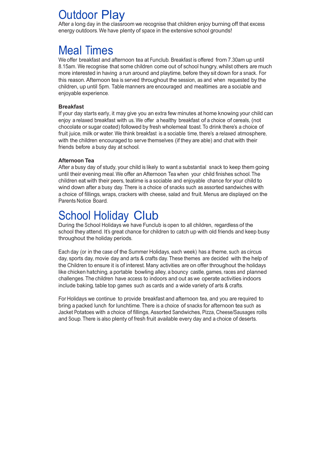#### Outdoor Play

After a long day in the classroom we recognise that children enjoy burning off that excess energy outdoors. We have plenty of space in the extensive school grounds!

#### Meal Times

We offer breakfast and afternoon tea at Funclub. Breakfast is offered from 7.30am up until 8.15am. We recognise that some children come out of school hungry, whilst others are much more interested in having a run around and playtime, before they sit down for a snack. For this reason. Afternoon tea is served throughout the session, as and when requested by the children, up until 5pm. Table manners are encouraged and mealtimes are a sociable and enjoyable experience.

#### **Breakfast**

If your day starts early, it may give you an extra few minutes at home knowing your child can enjoy a relaxed breakfast with us. We offer a healthy breakfast of a choice of cereals, (not chocolate or sugar coated) followed by fresh wholemeal toast. To drink there's a choice of fruit juice, milk or water. We think breakfast is a sociable time, there's a relaxed atmosphere, with the children encouraged to serve themselves (if they are able) and chat with their friends before a busy day at school.

#### **Afternoon Tea**

After a busy day of study, your child is likely to want a substantial snack to keep them going until their evening meal. We offer an Afternoon Tea when your child finishes school. The children eat with their peers, teatime is a sociable and enjoyable chance for your child to wind down after a busy day. There is a choice of snacks such as assorted sandwiches with a choice of fillings, wraps, crackers with cheese, salad and fruit. Menus are displayed on the Parents Notice Board.

#### School Holiday Club

During the School Holidays we have Funclub is open to all children, regardless of the school they attend. It's great chance for children to catch up with old friends and keep busy throughout the holiday periods.

Each day (or in the case of the Summer Holidays, each week) has a theme, such as circus day, sports day, movie day and arts & crafts day. These themes are decided with the help of the Children to ensure it is of interest. Many activities are on offer throughout the holidays like chicken hatching, a portable bowling alley, a bouncy castle, games, races and planned challenges. The children have access to indoors and out as we operate activities indoors include baking, table top games such as cards and a wide variety of arts & crafts.

For Holidays we continue to provide breakfast and afternoon tea, and you are required to bring a packed lunch for lunchtime. There is a choice of snacks for afternoon tea such as Jacket Potatoes with a choice of fillings, Assorted Sandwiches, Pizza, Cheese/Sausages rolls and Soup. There is also plenty of fresh fruit available every day and a choice of deserts.